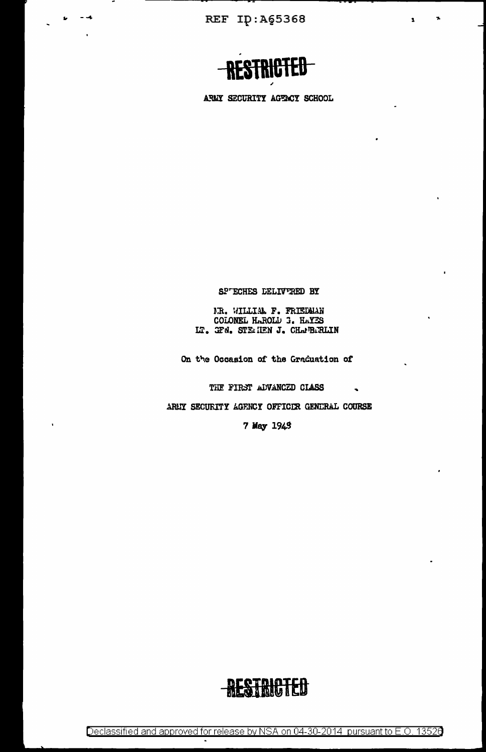REF ID: A65368

 $\sim$   $\sim$ 

 $\mathbf{r}$ 



'n,

 $\overline{\mathbf{z}}$ 

ARMY SECURITY AGENCY SCHOOL

SP'ECHES DELIVERED BY

NR. WILLIAM F. FRIEDMAN COLONEL HAROLD 3. HAYES LT. GFN. STEMHEN J. CHAPBARLIN

On the Occasion of the Graduation of

THE FIRST ADVANCED CLASS

ARIY SECURITY AGRNCY OFFICIR GENERAL COURSE

7 May 1943



Declassified and approved for release by NSA on 04-30-2014 pursuant to E.O. 13526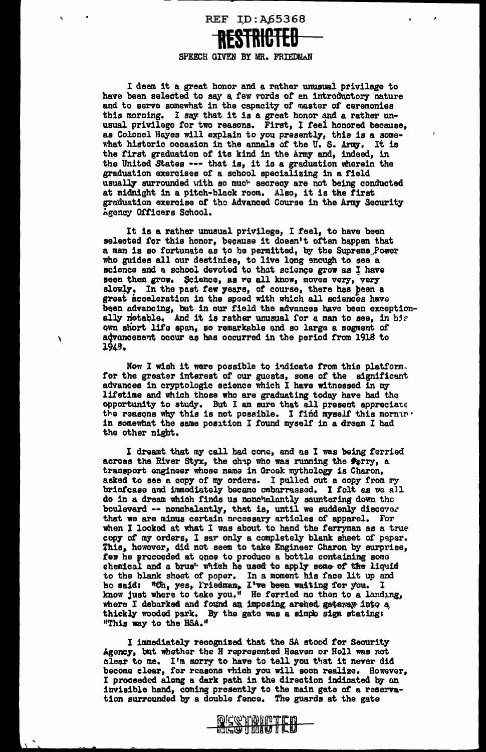REF ID:A65368 **RESTRICTED** 

## SPEECH GIVEN BY MR. FRIEDMAN

I deem it a great honor and a rather unusual privilege to have been selected to say a few rords of an introductory nature and to serve somewhat in the capacity of master of ceremonies this morning. I say that it is a great honor and a rather unusual privilege for two reasons. First, t feel honored because, as Colonel Hayes will explain to you presently, this is a somewhat historic occasion in the annals of the U.S. Army. It is the first graduation of its kind in the Army and, indeed, in the United States --- that is, it is a graduation wherein the graduation exercises of a school specializing in a field usually surrounded with so much secrecy are not being conducted at midnight in a p1tch•black room. Also, it is the first graduation exercise of tho Advanced Course in the Army Security Agency Officers School.

It is a rather unusual privilege, I feel, to have been selected for this honor, because it doesn't often happen that a man is so fortunate as to be permitted, by the Supreme\_Power who guides all our destinies, to live long enough to see a science and a school devoted to that science grow as I have seen them grow. Science, as we all know, moves very, very slowly. In the past few years, of course, there has been a great acceleration in the spoed with which all sciences have been advancing, but in our field the advances have been exception- ally netable. And it is rather unusual for a man to see, in his own short life span, so remarkable and so large a segment of , and approximate a segment of , and advancement occur as has occurred in the period from 1918 to J,94g.

> Now I wish it were possible to indicate from this platform. for the groatar interest of our guests, some *ot* the significant advances in cryptologic science which I have witnessed in my lifetime and which those who are graduating today have had the opportunity to study. But I am sure that all present appreciate the reasons why this is not possible. I find myself this mornin . in somewhat the same position I found myself in a dream I had the other night.

I dreamt that my call had cone, and as I was being ferried across the River Styx, the chap who was running the Perry, a transport engineer whooe name in Groek mythology is Charon, asked to see a copy of my orders. I pulled out a copy from my briefcase and immediately becamo embarrassed. I felt as we all do in a dream which finds us nonchalantly sauntering down the boulevard -- nonchalantly, that is, until we suddenly discover that we are minus certain nrcessary articles of apparel. For when I looked at what I was about to hand the ferryman as a true copy of my orders, I sav only a completely blank sheet of paper. This. however, did not seem to take Engineer Charon by surprise, fer he procoeded at once to produce a bottle containing some chemical and a brus<sup>t</sup> which he used to apply some of the liquid to the blank sheet of paper. In a moment his face lit up and ho said: "Ch, yes, l'riedman., I've been waiting for you. I know just where to take you." He ferried mo then to a landing, where I debarked and found an imposing arched gateway into a thickly wooded park. By the gate was a simple sign stating: "This way to the HSA."

I immediately recognized that the SA stood tor Security Agonoy, bUt whether the H represented Heaven or Hell was not clear to me. I'm sorry to have to tell you that it never did become clear, for reasons vhich you will soon realize. However, I proceeded along a dark path in the direction indicated by on invisible hand, coming presently to the main gate of a reservation surrounded by a double fence. The guards at the gate



 $\sum$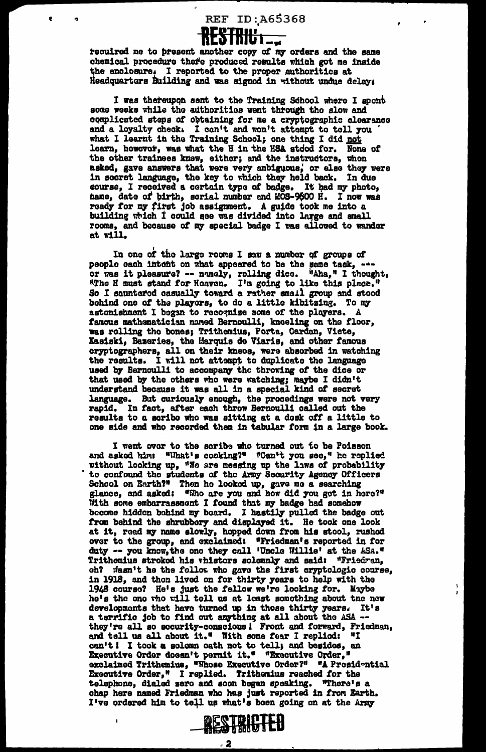

recuired me to present another copy of my orders and the same chemical procedure there produced results which got me inside the enclosure. I reported to the proper authorities at Headquartors Building and was signed in without undue delays

 $\bullet$ 

I was thereupon sent to the Training School where I spont some weeks while the authorities went through the slow and complicated steps of obtaining for me a cryptographic clearance and a loyalty check. I can't and won't attempt to tell you what I learnt in the Training School; one thing I did not learn, however, was what the H in the HSA stood for. None of the other trainees knew, either; and the instructors, whon asked, gave answers that were very ambiguous, or also they were in socret language, the key to which they held back. In due course, I received a certain type of badge. It had my photo, hame, date of birth, serial number and MOS-9600 H. I now was ready for my first job assignment. A guide took me into a building which I could see was divided into large and small rooms, and because of my special badge I was allowed to wander at will.

In one of the large rooms I saw a number of groups of people each intent on what appeared to be the same task, ---<br>or was it pleasure? -- namely, rolling dice. "Aha," I thought, "The H must stand for Hoaven. I'm going to like this place." So I sauntered casually toward a rather small group and stood bohind one of the players, to do a little kibitzing. To my astonishment I began to recognize some of the players. A famous mathematician named Bernoulli, kneeling on the floor, was rolling the bones; Trithemius, Porta, Cardan, Viete, Kasiski, Bazeries, the Harquis do Viaris, and other famous cryptographers, all on their knees, were absorbed in watching the results. I will not attempt to duplicate used by Bernoulli to accompany the throwing of the dice or that used by the others who were watching; maybe I didn't understand because it was all in a special kind of secret language. But curiously enough, the procedings were not very rapid. In fact, after each throw Bernoulli called out the results to a scribe who was sitting at a desk off a little to one side and who recorded them in tabular form in a large book.

I went over to the scribe who turned out to be Poisson and asked him: "What's cooking?" "Can't you see," he replied without looking up, "We are messing up the laws of probability to confound the students of the Army Security Agency Officers School on Earth?" Then he looked up, gave me a searching<br>glance, and asked: "Who are you and how did you get in here?" With some embarrassment I found that my badge had somehow become hidden bohind my board. I hastily pulled the badge out from behind the shrubbery and displayed it. He took one look at it, read my name slowly, hopped down from his stool, rushed over to the group, and exclaimed: "Friedman's reported in for duty -- you know, the one they call 'Uncle Willie' at the ASA." Trithemius stroked his vhisters solemnly and said: "Friedran, ch? wasn't he the follow who gave the first cryptologic course, in 1918, and then lived on for thirty years to help with the 1948 course? He's just the fellow we're looking for. Maybe he's the one tho will tell us at least something about the new developments that have turned up in those thirty years. It's<br>a terrific job to find out anything at all about the ASA --<br>they're all so security-conscious! Front and forward, Friedman,<br>and tell us all about it." With some can't! I took a solemn oath not to tell; and besides, an Executive Order doesn't permit it." "Executive Order," exclaimed Trithemius, "Whose Executive Order?" "A Presidential Executive Order," I replied. Trithemius reached for the telephone, dialed zero and soon began speaking. "There's a chap here named Friedman who has just reported in from Earth. I've ordered him to tell us what's boen going on at the Army

 $\frac{1}{1}$ 



. 2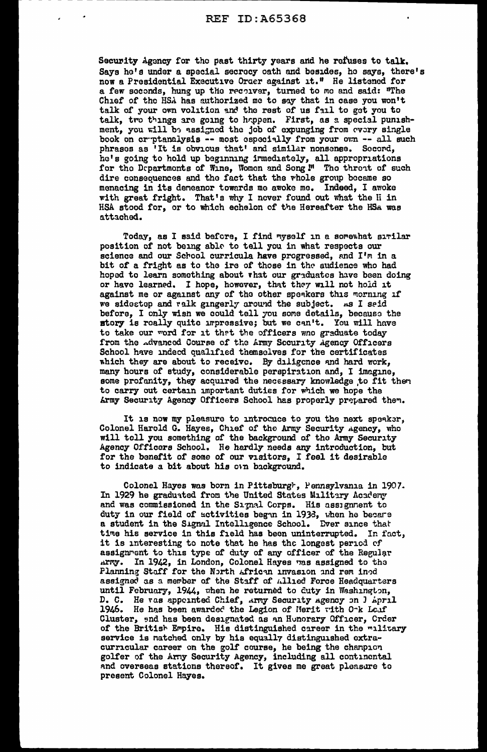Security Agency for the past thirty years and he refuses to talk. Says he's under a special secrocy oath and besides, he says, there's now a Presidential Executive Order against it." He listened for a few seconds, hung up the reconver, turned to me and said: "The Chief of the HSA has authorized me to say that in case you won't talk of your own volition and the rest of us fail to got you to talk, tvo things are going to happen. First, as a special punishment, you will be assigned the job of expunging from every single book on cr-ptanalysis -- most especially from your own -- all such phrases as 'It is obvious that' and similar nonsense. Second. he's going to hold up beginning immediately, all appropriations for the Departments of Wine, Women and Song !" The threat of such dire consequences and the fact that the whole group became so menacing in its deneanor towards mo awoke me. Indeed, I awoke with great fright. That's why I never found out what the Ii in HSA stood for, or to which echelon of the Hereafter the HSA was attached.

Today, as I said before, I find myself in a somewhat similar position of not being able to tell you in what respects our science and our School curricula have progressed, and I'm in a bit of a fright as to the ire of those in the audience who had hoped to learn something about vhat our graduates have been doing or have learned. I hope, however, that they will not hold it against me or against any of the other speakers this morning if we sidestep and ralk gingerly around the subject. As I seid before, I only wish we could tell you some details, because the story is really quite impressive; but we can't. You will have to take our word for it that the officers wno graduate today from the Advanced Course of the Army Security Agency Officers School have indeed qualified themselves for the certificates which they are about to receive. By diligence and hard work, many hours of study, considerable perspiration and, I imagine, some profanity, they acquired the necessary knowledge to fit then to carry out certain important duties for which we hope the Army Security Agency Officers School has properly prepared them.

It is now my pleasure to introcuce to you the next speaker, Colonel Harold G. Hayes, Chief of the Army Security Agency, who will toll you something of the background of tho Army Security Agency Officers School. He herdly needs any introduction, but for the benefit of some of our visitors, I feel it desirable to indicate a bit about his own background.

Colonel Hayes was born in Pittsburgh, Pennsylvania in 1907. In 1929 he graduated from the United States Military Academy and was commissioned in the Signal Corps. His assignment to duty in our field of activities began in 193d, when he becare a student in the Signal Intelligence School. Dver since that time his service in this field has been uninterrupted. In fact, it is interesting to note that he has the longest period cf assignrent to this type of duty of any officer of the Regular army. In 1942, in London, Colonel Hayes was assigned to the Planning Staff for the North African invasion and rem ined assigned as a member of the Staff of Allied Force Headquarters until February, 1944, when he returned to duty in Washington, D. C. He vas appeinted Chief, Army Security Agency on J April 1946. He has been awarded the Legion of Herit with O $\cdot$ k Leaf Cluster, 9nd has been designated as an Hunorary Officer, Crder of the British Empire. His distinguished career in the military service is natched only by his equally distinguished extracurricular career on the golf course, he being the chanpion golfer of the Arny Security Agency, including all continental and overseas stations thereof. It gives me great pleasure to present Colonel Hayes.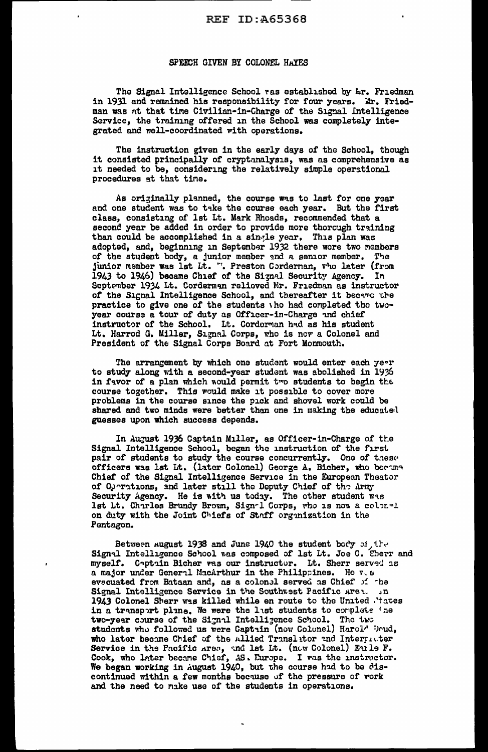## SPEECH GIVEN BY COLONEL HAYES

The Signal Intelligence School ras established by  $hr$ . Friedman in 1931 and remained his responsibility for four years. Mr. Friedman was at that time Civilian-in-Charge of the Signal Intelligence Service, the training offered in the School was completely integrated and well-coordinated with operations.

The instruction given in the early days of the School, though it consisted principally of cryptanalysis, was as comprehensive as it needed to be, considering the relatively simple operstional procedures at that tine.

As originally planned, the course was to last for one year and one student was to take the course each year. But the first class, consisting of lat Lt. Mark Rhoads, recommended that a second year be added in order to provide more thorough training than could be accomplished in a single year. This plan was adopted, and, beginning in September 1932 there were two members of the student body, a junior member and a senior member. The junior member was lst Lt. ". Preston Cordernan, vho later (from 1943 to 1946) became Chief of the Signal Security Agency. In September 1934 Lt. Corderman relieved Mr. Friedman as instructor of the Signal Intelligence School, and thereafter it became the practice to give one of the students tho had completed the twoyear course a tour of duty as Officer-in-Charge and chief instructor of the School. Lt. Cordorman had as his student Lt. Harrod G. Miller, Signal Corps, who is now a Colonel and President of the Signal Corps Board at Fort Monmouth.

The arrangement by which one student would enter each  $7e^{\circ}r$ to study along with a second-year student was abolished in 1936 in favor of a plan which would permit two students to begin the course together. This would make it possible to cover more problems in the course since the pick and shovel work could be shared and two minds were better than one in making the educated guesses upon which success depends.

In August 1936 Captain Miller, as Officer-in-Charge of the Signal Intelligence School, began the instruction of the first pair of students to study the course concurrently. One of these officers was lst Lt. (later Colonel) George A. Bicher, who became Chief of the Signal Intelligence Service in the European Theater of Operations, and later still the Deputy Chief of the Army Security Agency. He is with us today. The other student was lst Lt. Charles Brundy Brown, Sign-1 Corps, who is now a colonel on duty with the Joint Chiefs of Staff organization in the Pentagon.

Between august 1938 and June 1940 the student body of the Sign~l Intelligence School was composed of lst Lt. Joe C. Eberr and myself. Captain Bicher was our instructor. Lt. Sherr served as a major under General MacArthur in the Philippines. He v, & evecuated from Bataan and, as a colonel served as Chief of the Signal Intelligence Service in the Southwest Pacific Aren. Jn 1943 Colonel Sherr was killed while en route to the United .'tates in a transport plane. We were the last students to complete 'ne two-year course of the Signal Intelligence School. The two students who followed us were Captain (now Colonel) Harolr Drud, who later became Chief of the Allied Translator and Interpreter Service in the Pacific Area, and lst Lt. (now Colonel) Emle F. Cook, who later became Chief, AS. Europe. I was the instructor. We began working in August 1940, but the course had to be discontinued within a few months because of the pressure of  ${\tt work}$ and the need to make use of the students in operations.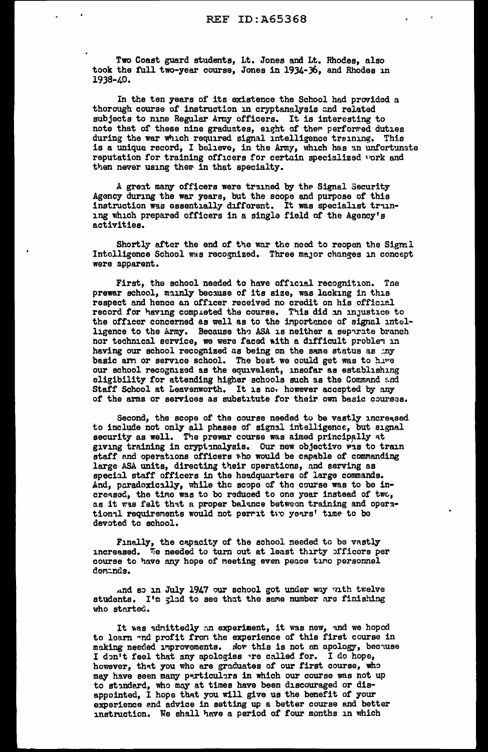Two Coast guard students, Lt. Jones and Lt. Rhodes, also took the full two-year course, Jones in 1934-36, and Rhodes 1n 1938-40.

In the ten years of its existence the School had provided a thorough course of instruction in cryptanalysis and related subjects to nine Regular Army officers. It is interesting to note that of these nine graduates, eight of them performed duties during the war which required signal intelligence treining. This is a unique record, I believe, in the Army, which has an unfortunate reputation for training officers for certain specialized vork and then never using them in that specialty.

A great many officers were trained by the Signal Security Agency during the war years, but the scope and purpose of this instruction was essentially different. It was specialist training which prepared officers in a single field of the Agency's activities.

Shortly after the end of the war the need to reopen the Sigm.1 Intelligence School was recognized. Three major changes in concept were apparent.

First, the school needed to have official recognition. Tne prewar school, mainly because of its size, was lacking in this respect and hence an officer received no credit on his official record for having compieted the course. This did in injustice to the officer concerned as well as to the inportence of signal intelligence to the Army. Because tho ASA is neither a separate branch nor technical service, we were faced with a difficult problem in having our school recognized as being on the same status as my basic arn or service school. The best we could get was to hive our school recognized as the equivalent, insofar as establishing eligibility for attending higher schools such as the Command and Staff School at Leavenworth. It is no, however accepted by any of the arms or services as substitute for their own basic courses.

Second, the scope of the course needed to be vastly increased to include not only all phases of signal intelligence, but signal security as well. The prewar course was aimed principally at giving training in crypt-nalysis. Our new objective was to train staff and operations officers who would be capable of commanding large ASA units, directing their operations, nnd serving as special staff officers in the headquarters of large commands. And, paradoxically, while the scope of the course was to be increased, the time was to be reduced to one year instead of two, as it was felt that a proper balance between training and operstional requirements would not permit two years' time to bo devoted to school.

Finally, the capacity of the school needed to be vastly increased. We needed to turn out at least thirty officors per course to have any hope of meeting even peace timo personnel demands.

And so in July 1947 our school got under way with twelve students. I'm glad to see that the same number are finishing who started.

It was admittedly an experiment, it was new, and we hoped to loam ~nd profit fron the experience or this first course in making needed improvements. Now this is not an apology, because I don't feel that any apologies re called for. I do hope, however, that you who are graduates of our first course, who may have seen many particulars in which our course was not up to standard, who may at times have been discouraged or disappointed, I hope that you will give us the benefit of your experience end advice in setting up a better course and better instruction. We shall have a period of four months in which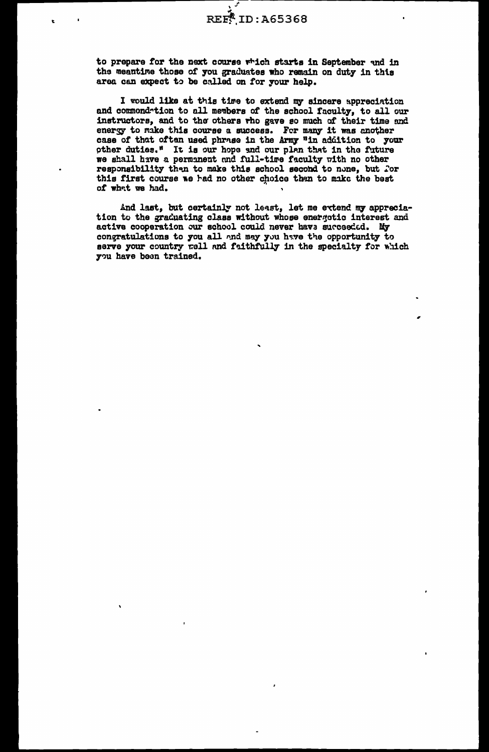to prepare for the next course which starts in September and in the meantime those of you graduates who remain on duty in this area can expect to be called on for your help.

I would like at this time to extend my sincere appreciation and commendation to all members of the school faculty, to all our instructors, and to the others who gave so much of their time and energy to make this course a success. For many it was another case of that often used phrase in the Army "in addition to your other duties." It is our hope and our plan that in the future we shall have a permanent and full-time faculty with no other responsibility then to make this school second to none, but for this first course we had no other choice than to make the best of what we had.

And last, but certainly not least, let me extend my appreciation to the graduating class without whose energotic interest and active cooperation our school could never have succeeded. My congratulations to you all and may you have the opportunity to serve your country well and faithfully in the specialty for which you have been trained.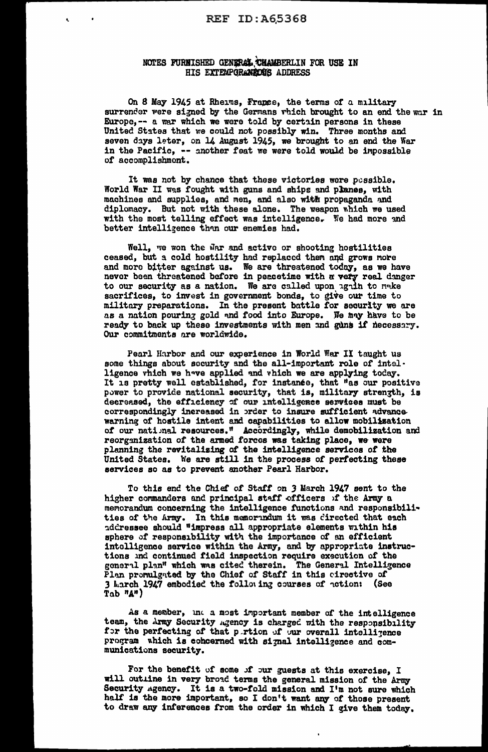## NOTES FURNISHED GENERAL CHAMBERLIN FOR USE IN HIS EXTEMPORANEOUS ADDRESS

On 8 May 1945 at Rheims, France, the terms of a military surrender were signed by the Germans which brought to an end the war in Europe, -- a war which we were told by certain persons in these United States that we could not possibly win. Three months and seven days leter, on 14 August 1945, we brought to an end the War in the Pacific, -- another feat we were told would be impossible of accomplishment.

It was not by chance that these victories were pessible. World War II was fought with guns and ships and planes, with machines and supplies, and men, and also with propaganda and diplomacy. But not with these alone. The weapon which we used with the most telling effect was intelligence. We had more and better intelligence than our enemies had.

Well, we won the War and active or shooting hostilities ceased, but a cold hostility had replaced them and grows more and more bitter against us. We are threatened today, as we have<br>never been threatened before in peacetime with a very real danger<br>to our security as a nation. We are called upon again to make sacrifices, to invest in government bonds, to give our time to military preparations. In the present battle for security we are as a nation pouring gold and food into Europe. We may have to be ready to back up these investments with men and guns if necessary. Our commitments are worldwide.

Pearl Harbor and our experience in World War II taught us some things about security and the all-important role of intelligence vhich we have applied and vhich we are applying today. It is pretty well established, for instance, that "as our positive power to provide national security, that is, military strength, is decreased, the efficiency of our intelligence services must be correspondingly increased in order to insure sufficient advance warning of hostile intent and capabilities to allow mobilization of our national resources." Accordingly, while demobilization and reorganization of the armed forces was taking place, we were planning the revitalizing of the intelligence services of the United States. We are still in the process of perfecting these services so as to prevent another Pearl Harbor.

To this end the Chief of Staff on 3 March 1947 sent to the higher commanders and principal staff officers of the Army a memorandum concerning the intelligence functions and responsibilities of the Army. In this memorindum it was directed that each iddressee should "impress all appropriate elements within his sphere of responsibility with the importance of an efficient<br>intelligence service within the Army, and by appropriate instructions and continued field inspection require execution of the general plan" which was cited therein. The General Intelligence Plan promulgated by the Chief of Staff in this cirective of 3 March 1947 embodied the following courses of notion: (See  $Tab$   $^nA^n$ )

As a member, ind a most important member of the intelligence team, the Army Security Agency is charged with the responsibility for the perfecting of that pertion of our overall intelligence program which is cohoerned with signal intelligence and communications security.

For the benefit of some of our guests at this exercise, I will outline in very broad terms the general mission of the Army Security agency. It is a two-fold mission and I'm not sure which<br>half is the more important, so I don't want any of those present<br>to draw any inferences from the order in which I give them today.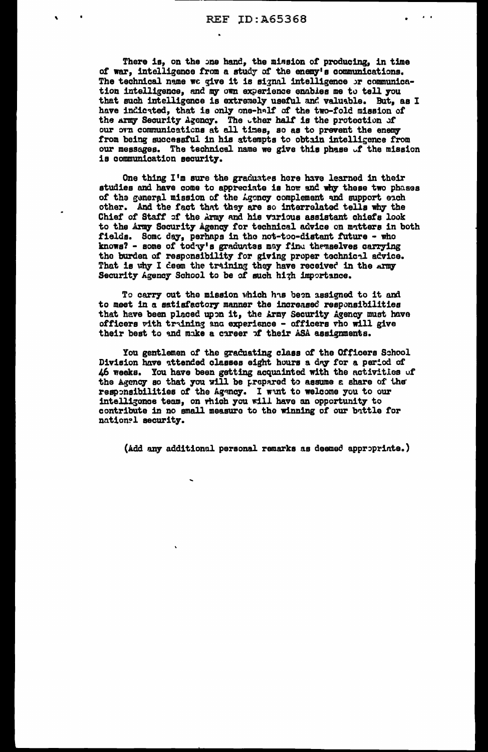$\mathbf{a}=\mathbf{a}$ 

There is, on the one hand, the mission of producing, in time of war, intelligence from a study of the enemy's communications. The technical name we give it is signal intelligence or communication intelligence, and my own experience enables me to tell you that such intelligence is extremely useful and valuable. But, as I have indicated, that is only one-half of the two-fold mission of the army Security Agency. The ther half is the protection of our own communications at all times, so as to prevent the enemy from being successful in his attempts to obtain intelligence from our messages. The technical name we give this phase of the mission is communication security.

One thing I'm sure the graduates here have learned in their studies and have come to appreciate is how and why these two phases of the general mission of the Agency complement and support each other. And the fact that they are so interrelated tells why the Chief of Staff of the Army and his various assistant chiefs look to the Army Security Agency for technical advice on matters in both fields. Some day, perhaps in the not-too-distant future - who knows? - some of today's graduates may find the meetwes carrying the burden of responsibility for giving proper technical advice.<br>That is why I deem the training they have received in the army<br>Security Agency School to be of such high importance.

To carry out the mission which has been assigned to it and to meet in a satisfactory manner the increased responsibilities that have been placed upon it, the Army Security Agency must have officers with training and experience - officers who will give their best to and make a career of their ASA assignments.

You gentlemen of the graduating class of the Officers School Division have attended classes eight hours a day for a period of 46 weeks. You have been getting acquainted with the activities of the Agency so that you will be prepared to assume a share of the responsibilities of the Agency. I want to welcome you to our intelligonce team, on which you will have an opportunity to contribute in no small measure to the winning of our battle for national security.

(Add any additional personal remarks as deemed approprinte.)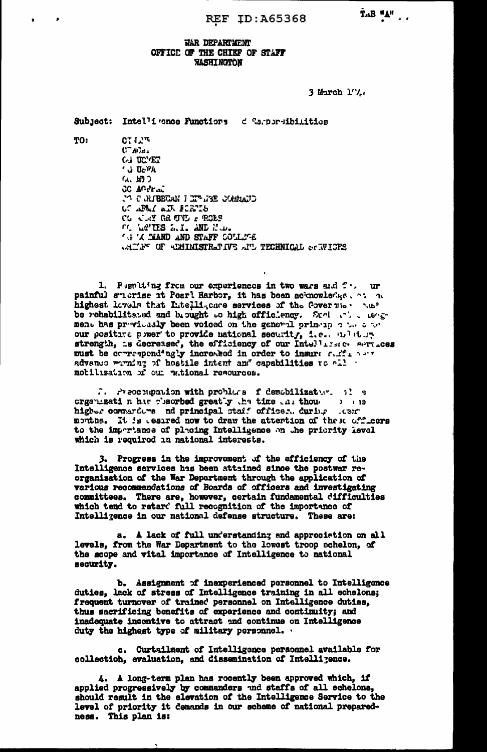## WAR DEPARTMENT OFFICE OF THE CHIEF OF STAFF *RASHINGTON*

3 March 17.

Subject: Intel'i cance Functions de Capporeibilities

TO:

 $C^T L^{\mathfrak{m}}$  $C^-\mathcal{N}_{\mathcal{D}+}$ **GJ UCTET CU UCTA** (4. 開き **CC ACCEAL** CUMBER I THURS COMMUNIC UC APAI AIR FORTS CG CRY GR TVD & PORS Of Latins L.I. AND M.D. **A A AND AND STAFF COLLAGE** WAITE OF ADMINISTRATIVE ATL TECHNICAL STRUCTES

1. Peniting from our experiences in two wars and four ur painful subrise it Pearl Harbor, it has been acknowledge. on a highest levels that Intellizence services of the Governies hast be rehabilitated and brought to high officiency. Such the tengment has previously been voiced on the general princip on the top our positive power to provide national security, i.e., multure strength, is decreased, the efficiency of our Intelligate services must be correspondingly increased in order to insure sufficients advance weming of hostile intent and capabilities to all motilization of our national resources.

.. Preoclupation with problems f demobilization. il s crgs nizati n has charbed greatly the time that thou is a series of the contractors and principal staff offices. during their higher commarders nd principal staff officer. during months. It is essired now to draw the attention of these officers to the impertance of placing Intelligence on the priority level which is required in national interests.

3. Progress in the improvement of the efficiency of the Intelligence services has been attained since the postwar reorganization of the War Department through the application of various recommendations of Boards of officers and investigating committees. There are, however, certain fundamental difficulties which tend to retard full recognition of the importance of Intelligence in our national defense structure. These are:

a. A lack of full understanding and approciation on all levels, from the War Department to the lowest troop echelon, of the scope and vital importance of Intelligence to national security.

b. Assignment of inexperienced personnel to Intelligence duties, lack of stress of Intelligence training in all echelons; frequent turnover of trained personnel on Intelligence duties, thus sacrificing benefits of experience and continuity; and inadequate incentive to attract and continue on Intelligence duty the highest type of military personnel.

c. Curtailment of Intelligence personnel available for collection, evaluation, and dissemination of Intelligence.

4. A long-term plan has recently been approved which, if applied progressively by commanders and staffs of all echelons, should result in the elevation of the Intelligence Service to the level of priority it demands in our scheme of national preparedness. This plan is: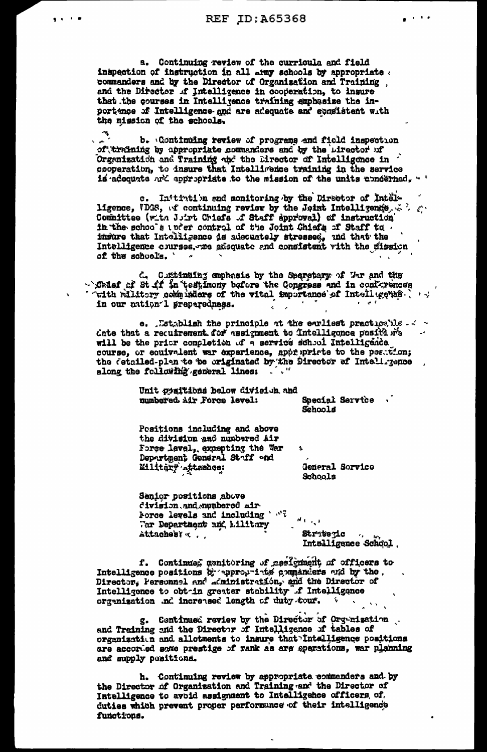$\frac{1}{2}$  and  $\frac{1}{2}$  and  $\frac{1}{2}$ 

 $\mathbf{r}$  and the first set of  $\mathbf{r}$ 

a. Continuing review of the curricula and field inspection of instruction in all army schools by appropriate . commanders and by the Director of Organization and Training and the Director of Intelligence in cooperation, to insure that the courses in Intelligence training amphasize the importance of Intelligence and are adequate and consistent with the mission of the schools.

b. Continuing review of programs and field inspection of training by appropriate commanders and by the uirector of Organization and Training and the Eirector of Intelligence in cooperation, to insure that Intelligence training in the service is adequate and appropriate to the mission of the units conderned.

c. Initiation and monitoring by the Director of Intelligence, VDGS, of continuing review by the Joint Intelligence. Committee (with Joint Chiefs of Staff approval) of instruction in the schools under control of the Joint Chiefs of Staff to insure that Intelligence is adecuately stressed, and that the Intelligence courses, ne adsquate and consistent with the mission of the schools.

d. Cuttinuing emphasis by the Secretary of War and the Calef of St ff in testimony before the Congress and in conferences ' with militory comminders of the vital importance of Intellugence. in our nation 1 preparedness.  $\sim$  $\mathbf{g}$  .

e. Establish the principle at the earliest practice, ble -  $\sim$ date that a requirement for assignment to intelligonce positions will be the prior completion of a service school Intelligence course, or equivalent war experience, apprinted to the position; the detailed-plan to be originated by the Director of Inteligence along the following general lines:

> Unit positions below division and Special Service numbered Air Force level:

Schools

Positions including and above the division and numbered Air Force level, excepting the War Department General Staff and Military <sub>s</sub>ttaches:

General Sorvice Schools

Senior positions above division and aumbered air-Force levels and including ' "?  $\theta$  values Tar Department and Military Attaches 7 ... Stritegic Intelligence School

f. Continued menitoring of assignment of officers to Intelligence positions by appropriate commanders and by the. Director. Personnel and administration, and the Director of Intelligence to obt-in greater stability f Intelligence organization .nd increased length of duty tour. **CONTRACTOR** 

g. Continued review by the Director of Org-nization. and Training and the Director of Intelligence of tables of organization and allotments to insure that Intelligence positions are accorded some prestige of rank as are operations, war planning and supply positions.

h. Continuing review by appropriate commanders and by the Director of Organization and Training and the Director of Intelligence to avoid assignment to Intelligence officers, of. duties which prevent proper performance of their intelligence functions.